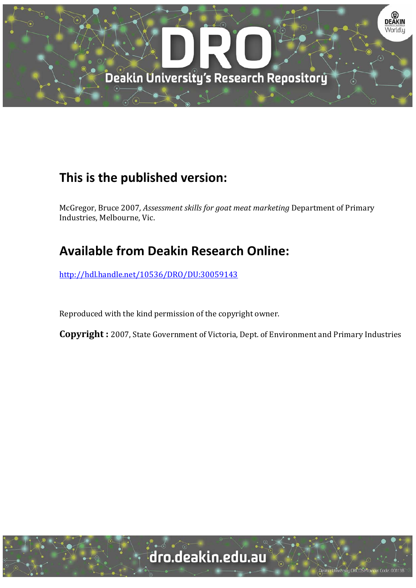

# **This is the published version:**

McGregor, Bruce 2007*, Assessment skills for goat meat marketing* Department of Primary Industries, Melbourne, Vic.

# **Available from Deakin Research Online:**

http://hdl.handle.net/10536/DRO/DU:30059143

Reproduced with the kind permission of the copyright owner.

**Copyright** : 2007, State Government of Victoria, Dept. of Environment and Primary Industries

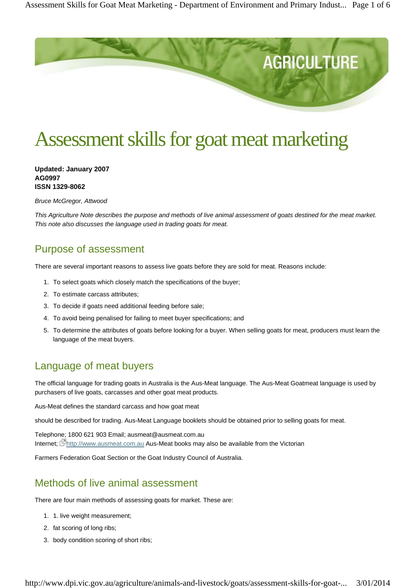

# Assessment skills for goat meat marketing

**Updated: January 2007 AG0997 ISSN 1329-8062**

*Bruce McGregor, Attwood*

*This Agriculture Note describes the purpose and methods of live animal assessment of goats destined for the meat market. This note also discusses the language used in trading goats for meat.*

### Purpose of assessment

There are several important reasons to assess live goats before they are sold for meat. Reasons include:

- 1. To select goats which closely match the specifications of the buyer;
- 2. To estimate carcass attributes;
- 3. To decide if goats need additional feeding before sale;
- 4. To avoid being penalised for failing to meet buyer specifications; and
- 5. To determine the attributes of goats before looking for a buyer. When selling goats for meat, producers must learn the language of the meat buyers.

## Language of meat buyers

The official language for trading goats in Australia is the Aus-Meat language. The Aus-Meat Goatmeat language is used by purchasers of live goats, carcasses and other goat meat products.

Aus-Meat defines the standard carcass and how goat meat

should be described for trading. Aus-Meat Language booklets should be obtained prior to selling goats for meat.

Telephone; 1800 621 903 Email; ausmeat@ausmeat.com.au Internet; **Phttp://www.ausmeat.com.au Aus-Meat books may also be available from the Victorian** 

Farmers Federation Goat Section or the Goat Industry Council of Australia.

## Methods of live animal assessment

There are four main methods of assessing goats for market. These are:

- 1. 1. live weight measurement;
- 2. fat scoring of long ribs;
- 3. body condition scoring of short ribs;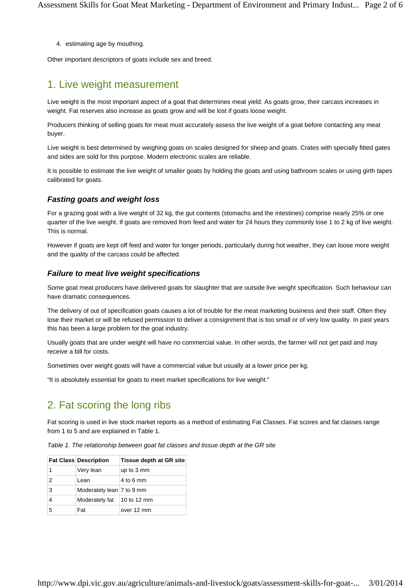4. estimating age by mouthing.

Other important descriptors of goats include sex and breed.

### 1. Live weight measurement

Live weight is the most important aspect of a goat that determines meat yield. As goats grow, their carcass increases in weight. Fat reserves also increase as goats grow and will be lost if goats loose weight.

Producers thinking of selling goats for meat must accurately assess the live weight of a goat before contacting any meat buyer.

Live weight is best determined by weighing goats on scales designed for sheep and goats. Crates with specially fitted gates and sides are sold for this purpose. Modern electronic scales are reliable.

It is possible to estimate the live weight of smaller goats by holding the goats and using bathroom scales or using girth tapes calibrated for goats.

#### *Fasting goats and weight loss*

For a grazing goat with a live weight of 32 kg, the gut contents (stomachs and the intestines) comprise nearly 25% or one quarter of the live weight. If goats are removed from feed and water for 24 hours they commonly lose 1 to 2 kg of live weight. This is normal.

However if goats are kept off feed and water for longer periods, particularly during hot weather, they can loose more weight and the quality of the carcass could be affected.

#### *Failure to meat live weight specifications*

Some goat meat producers have delivered goats for slaughter that are outside live weight specification. Such behaviour can have dramatic consequences.

The delivery of out of specification goats causes a lot of trouble for the meat marketing business and their staff. Often they lose their market or will be refused permission to deliver a consignment that is too small or of very low quality. In past years this has been a large problem for the goat industry.

Usually goats that are under weight will have no commercial value. In other words, the farmer will not get paid and may receive a bill for costs.

Sometimes over weight goats will have a commercial value but usually at a lower price per kg.

"It is absolutely essential for goats to meet market specifications for live weight."

#### 2. Fat scoring the long ribs

Fat scoring is used in live stock market reports as a method of estimating Fat Classes. Fat scores and fat classes range from 1 to 5 and are explained in Table 1.

*Table 1. The relationship between goat fat classes and tissue depth at the GR site*

|               | <b>Fat Class Description</b>       | Tissue depth at GR site |
|---------------|------------------------------------|-------------------------|
|               | Very lean                          | up to 3 mm              |
| $\mathcal{P}$ | Lean                               | $4$ to 6 mm             |
| 3             | Moderately lean   7 to 9 mm        |                         |
| 4             | Moderately fat $\vert$ 10 to 12 mm |                         |
| 5             | Fat                                | over 12 mm              |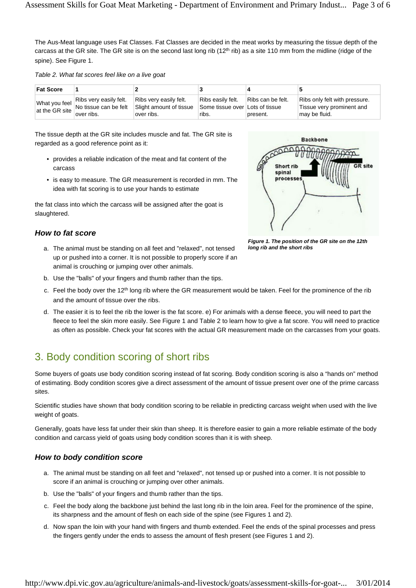The Aus-Meat language uses Fat Classes. Fat Classes are decided in the meat works by measuring the tissue depth of the carcass at the GR site. The GR site is on the second last long rib  $(12<sup>th</sup>rib)$  as a site 110 mm from the midline (ridge of the spine). See Figure 1.

*Table 2. What fat scores feel like on a live goat*

| <b>Fat Score</b> |                                                                                                                                                                                                             |                                                                 |                                                                                 |          |                                                                             |
|------------------|-------------------------------------------------------------------------------------------------------------------------------------------------------------------------------------------------------------|-----------------------------------------------------------------|---------------------------------------------------------------------------------|----------|-----------------------------------------------------------------------------|
| at the GR site   | Ribs very easily felt.<br>What you feel $\begin{vmatrix} 1 & 0 & 0 \\ 0 & 1 & 0 \\ 0 & 0 & 1 \end{vmatrix}$ what you feel $\begin{vmatrix} 1 & 0 & 0 \\ 0 & 1 & 0 \\ 0 & 0 & 1 \end{vmatrix}$<br>over ribs. | Ribs very easily felt.<br>Slight amount of tissue<br>over ribs. | Ribs easily felt. Ribs can be felt.<br>Some tissue over Lots of tissue<br>ribs. | present. | Ribs only felt with pressure.<br>Tissue very prominent and<br>may be fluid. |

The tissue depth at the GR site includes muscle and fat. The GR site is regarded as a good reference point as it:

- provides a reliable indication of the meat and fat content of the carcass
- is easy to measure. The GR measurement is recorded in mm. The idea with fat scoring is to use your hands to estimate

the fat class into which the carcass will be assigned after the goat is slaughtered.

#### *How to fat score*

- The animal must be standing on all feet and "relaxed", not tensed a. up or pushed into a corner. It is not possible to properly score if an animal is crouching or jumping over other animals.
- b. Use the "balls" of your fingers and thumb rather than the tips.
- c. Feel the body over the 12<sup>th</sup> long rib where the GR measurement would be taken. Feel for the prominence of the rib and the amount of tissue over the ribs.
- d. The easier it is to feel the rib the lower is the fat score. e) For animals with a dense fleece, you will need to part the fleece to feel the skin more easily. See Figure 1 and Table 2 to learn how to give a fat score. You will need to practice as often as possible. Check your fat scores with the actual GR measurement made on the carcasses from your goats.

# 3. Body condition scoring of short ribs

Some buyers of goats use body condition scoring instead of fat scoring. Body condition scoring is also a "hands on" method of estimating. Body condition scores give a direct assessment of the amount of tissue present over one of the prime carcass sites.

Scientific studies have shown that body condition scoring to be reliable in predicting carcass weight when used with the live weight of goats.

Generally, goats have less fat under their skin than sheep. It is therefore easier to gain a more reliable estimate of the body condition and carcass yield of goats using body condition scores than it is with sheep.

#### *How to body condition score*

- a. The animal must be standing on all feet and "relaxed", not tensed up or pushed into a corner. It is not possible to score if an animal is crouching or jumping over other animals.
- b. Use the "balls" of your fingers and thumb rather than the tips.
- c. Feel the body along the backbone just behind the last long rib in the loin area. Feel for the prominence of the spine, its sharpness and the amount of flesh on each side of the spine (see Figures 1 and 2).
- d. Now span the loin with your hand with fingers and thumb extended. Feel the ends of the spinal processes and press the fingers gently under the ends to assess the amount of flesh present (see Figures 1 and 2).



*Figure 1. The position of the GR site on the 12th long rib and the short ribs*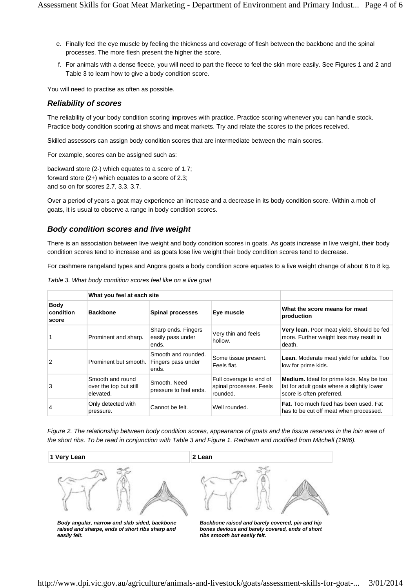- e. Finally feel the eye muscle by feeling the thickness and coverage of flesh between the backbone and the spinal processes. The more flesh present the higher the score.
- f. For animals with a dense fleece, you will need to part the fleece to feel the skin more easily. See Figures 1 and 2 and Table 3 to learn how to give a body condition score.

You will need to practise as often as possible.

#### *Reliability of scores*

The reliability of your body condition scoring improves with practice. Practice scoring whenever you can handle stock. Practice body condition scoring at shows and meat markets. Try and relate the scores to the prices received.

Skilled assessors can assign body condition scores that are intermediate between the main scores.

For example, scores can be assigned such as:

backward store (2-) which equates to a score of 1.7; forward store (2+) which equates to a score of 2.3; and so on for scores 2.7, 3.3, 3.7.

Over a period of years a goat may experience an increase and a decrease in its body condition score. Within a mob of goats, it is usual to observe a range in body condition scores.

#### *Body condition scores and live weight*

There is an association between live weight and body condition scores in goats. As goats increase in live weight, their body condition scores tend to increase and as goats lose live weight their body condition scores tend to decrease.

For cashmere rangeland types and Angora goats a body condition score equates to a live weight change of about 6 to 8 kg.

|                                   | What you feel at each site                              |                                                    |                                                                |                                                                                                                            |
|-----------------------------------|---------------------------------------------------------|----------------------------------------------------|----------------------------------------------------------------|----------------------------------------------------------------------------------------------------------------------------|
| <b>Body</b><br>condition<br>score | <b>Backbone</b>                                         | <b>Spinal processes</b>                            | Eye muscle                                                     | What the score means for meat<br>production                                                                                |
|                                   | Prominent and sharp.                                    | Sharp ends. Fingers<br>easily pass under<br>ends.  | Very thin and feels<br>hollow.                                 | Very lean. Poor meat yield. Should be fed<br>more. Further weight loss may result in<br>death.                             |
| $\mathcal{P}$                     | Prominent but smooth.                                   | Smooth and rounded.<br>Fingers pass under<br>ends. | Some tissue present.<br>Feels flat.                            | <b>Lean.</b> Moderate meat yield for adults. Too<br>low for prime kids.                                                    |
| 3                                 | Smooth and round<br>over the top but still<br>elevated. | Smooth, Need<br>pressure to feel ends.             | Full coverage to end of<br>spinal processes. Feels<br>rounded. | <b>Medium.</b> Ideal for prime kids. May be too<br>fat for adult goats where a slightly lower<br>score is often preferred. |
| 4                                 | Only detected with<br>pressure.                         | Cannot be felt.                                    | Well rounded.                                                  | Fat. Too much feed has been used. Fat<br>has to be cut off meat when processed.                                            |

*Table 3. What body condition scores feel like on a live goat*

*Figure 2. The relationship between body condition scores, appearance of goats and the tissue reserves in the loin area of the short ribs. To be read in conjunction with Table 3 and Figure 1. Redrawn and modified from Mitchell (1986).*



*raised and sharpe, ends of short ribs sharp and easily felt.*

*bones devious and barely covered, ends of short ribs smooth but easily felt.*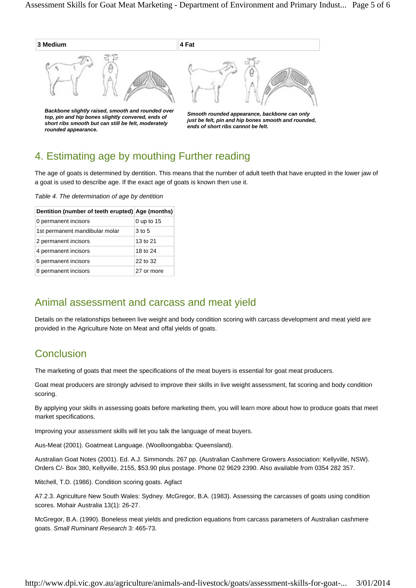

*Smooth rounded appearance, backbone can only just be felt, pin and hip bones smooth and rounded, ends of short ribs cannot be felt.*

# 4. Estimating age by mouthing Further reading

The age of goats is determined by dentition. This means that the number of adult teeth that have erupted in the lower jaw of a goat is used to describe age. If the exact age of goats is known then use it.

*Table 4. The determination of age by dentition*

*short ribs smooth but can still be felt, moderately* 

*rounded appearance.*

| Dentition (number of teeth erupted) Age (months) |            |
|--------------------------------------------------|------------|
| 0 permanent incisors                             | 0 up to 15 |
| 1st permanent mandibular molar                   | 3 to 5     |
| 2 permanent incisors                             | 13 to 21   |
| 4 permanent incisors                             | 18 to 24   |
| 6 permanent incisors                             | 22 to 32   |
| 8 permanent incisors                             | 27 or more |

#### Animal assessment and carcass and meat yield

Details on the relationships between live weight and body condition scoring with carcass development and meat yield are provided in the Agriculture Note on Meat and offal yields of goats.

# **Conclusion**

The marketing of goats that meet the specifications of the meat buyers is essential for goat meat producers.

Goat meat producers are strongly advised to improve their skills in live weight assessment, fat scoring and body condition scoring.

By applying your skills in assessing goats before marketing them, you will learn more about how to produce goats that meet market specifications.

Improving your assessment skills will let you talk the language of meat buyers.

Aus-Meat (2001). Goatmeat Language. (Woolloongabba: Queensland).

Australian Goat Notes (2001). Ed. A.J. Simmonds. 267 pp. (Australian Cashmere Growers Association: Kellyville, NSW). Orders C/- Box 380, Kellyville, 2155, \$53.90 plus postage. Phone 02 9629 2390. Also available from 0354 282 357.

Mitchell, T.D. (1986). Condition scoring goats. Agfact

A7.2.3. Agriculture New South Wales: Sydney. McGregor, B.A. (1983). Assessing the carcasses of goats using condition scores. Mohair Australia 13(1): 26-27.

McGregor, B.A. (1990). Boneless meat yields and prediction equations from carcass parameters of Australian cashmere goats. *Small Ruminant Research* 3: 465-73.